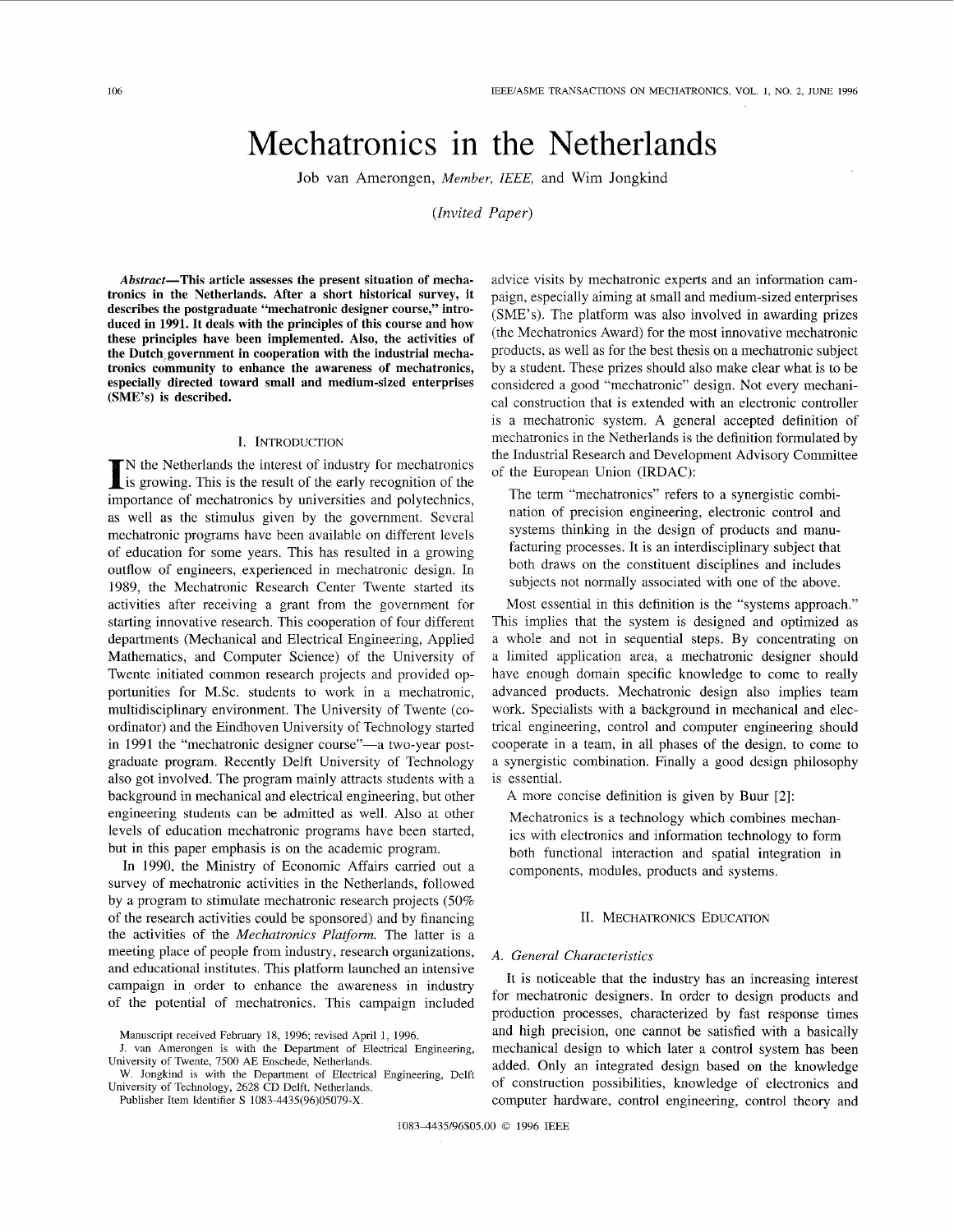# Mechatronics in the Netherlands

Job van Amerongen, *Member, IEEE,* and Wim Jongkind

*(Invited Paper)* 

Abstract—This article assesses the present situation of mecha**tronics in the Netherlands. After a short historical survey, it describes the postgraduate "mechatronic designer course," introduced in 1991. It deals with the principles of this course and how these principles have been implemented. Also, the activities of**  the Dutch government in cooperation with the industrial mecha**tronics community to enhance the awareness of mechatronics, especially directed toward small and medium-sized enterprises (SME's) is described.** 

#### I. INTRODUCTION

N the Netherlands the interest of industry for mechatronics is growing. This is the result of the early recognition of the importance of mechatronics by universities and polytechnics, as well as the stimulus given by the government. Several mechatronic programs have been available on different levels of education for some years. This has resulted in a growing outflow of engineers, experienced in mechatronic design. In 1989, the Mechatronic Research Center Twente started its activities after receiving a grant from the government for starting innovative research. This cooperation of four different departments (Mechanical and Electrical Engineering, Applied Mathematics, and Computer Science) of the University of Twente initiated common research projects and provided opportunities for M.Sc. students to work in a mechatronic, multidisciplinary environment. The University of Twente (coordinator) and the Eindhoven University of Technology started in 1991 the "mechatronic designer course"—a two-year postgraduate program. Recently Delft University of Technology also got involved. The program mainly attracts students with a background in mechanical and electrical engineering, but other engineering students can be admitted as well. Also at other levels of education mechatronic programs have been started, but in this paper emphasis is on the academic program.

In 1990, the Ministry of Economic Affairs carried out a survey of mechatronic activities in the Netherlands, followed by a program to stimulate mechatronic research projects (50% of the research activities could be sponsored) and by financing the activities of the *Mechatronics Platform.* The latter is a meeting place of people from industry, research organizations, and educational institutes. This platform launched an intensive campaign in order to enhance the awareness in industry of the potential of mechatronics. This campaign included

Publisher Item Identifier S 1083-4435(96)05079-X.

advice visits by mechatronic experts and an information campaign, especially aiming at small and medium-sized enterprises (SME's). The platform was also involved in awarding prizes (the Mechatronics Award) for the most innovative mechatronic products, as well as for the best thesis on a mechatronic subject by a student. These prizes should also make clear what is to be considered a good "mechatronic" design. Not every mechanical construction that is extended with an electronic controller is a mechatronic system. A general accepted definition of mechatronics in the Netherlands is the definition formulated by the Industrial Research and Development Advisory Committee of the European Union (IRDAC):

The term "mechatronics" refers to a synergistic combination of precision engineering, electronic control and systems thinking in the design of products and manufacturing processes. It is an interdisciplinary subject that both draws on the constituent disciplines and includes subjects not normally associated with one of the above.

Most essential in this definition is the "systems approach." This implies that the system is designed and optimized as a whole and not in sequential steps. By concentrating on a limited application area, a mechatronic designer should have enough domain specific knowledge to come to really advanced products. Mechatronic design also implies team work. Specialists with a background in mechanical and electrical engineering, control and computer engineering should cooperate in a team, in all phases of the design, to come to a synergistic combination. Finally a good design philosophy is essential.

A more concise definition is given by Buur [2]:

Mechatronics is a technology which combines mechanics with electronics and information technology to form both functional interaction and spatial integration in components, modules, products and systems.

# 11. MECHATRONICS EDUCATION

#### *A. General Characteristics*

It is noticeable that the industry has an increasing interest for mechatronic designers. In order to design products and production processes, characterized by fast response times and high precision, one cannot be satisfied with a basically mechanical design to which later a control system has been added. Only an integrated design based on the knowledge of construction possibilities, knowledge of electronics and computer hardware, control engineering, control theory and

Manuscript received February 18, 1996; revised April 1, 1996.

J. van Amerongen is with the Department of Electrical Engineering, University of Twente, 7500 AE Enschede, Netherlands.

W. Jongkind is with the Department of Electrical Engineering, Delft University of Technology, 2628 CD Delft, Netherlands.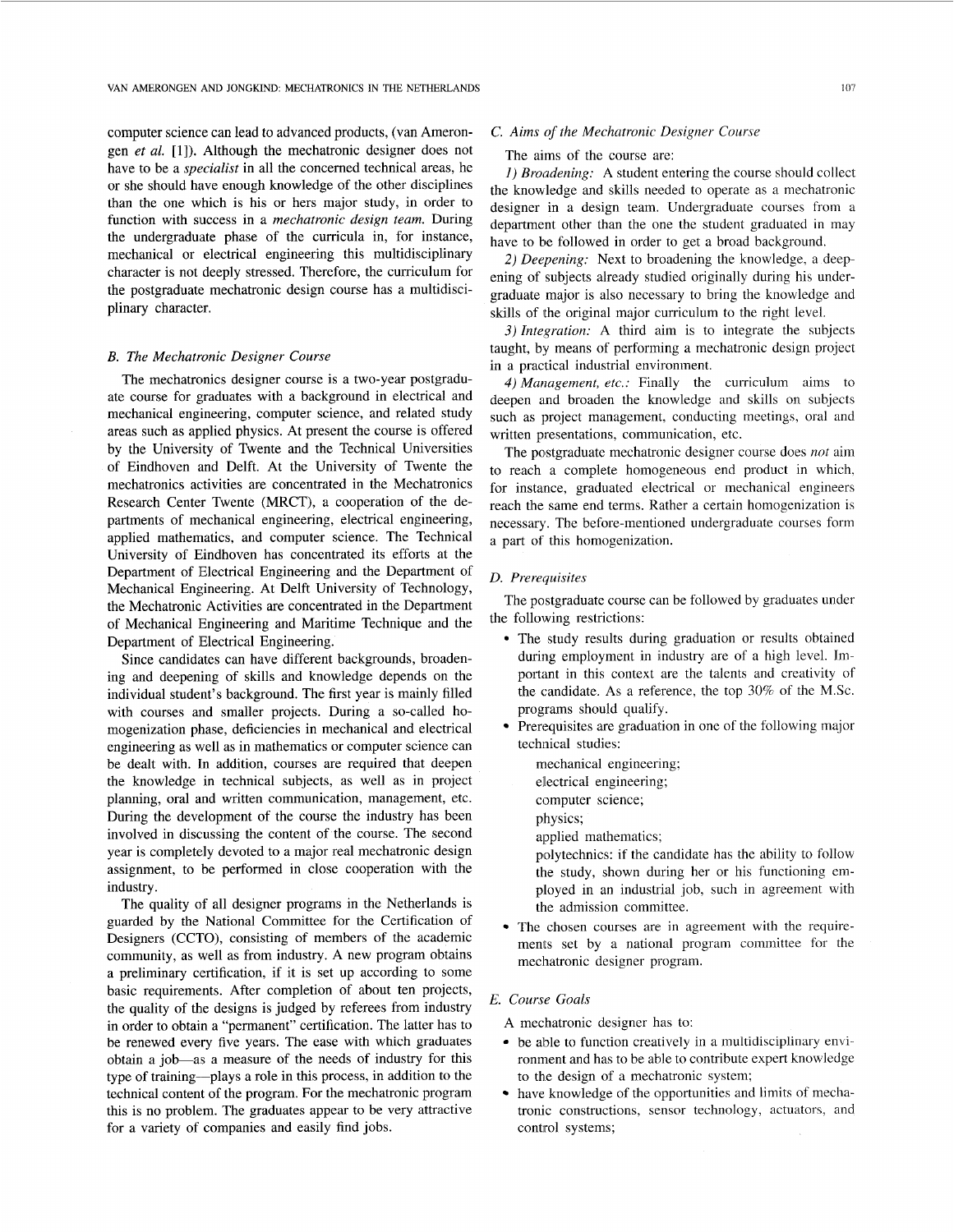computer science can lead to advanced products, (van Amerongen *et al.* [l]). Although the mechatronic designer does not have to be a *specialist* in all the concerned technical areas, he or she should have enough knowledge of the other disciplines than the one which is his or hers major study, in order to function with siuccess in a *mechatronic design team.* During the undergraduate phase of the curricula in, for instance, mechanical or electrical engineering this multidisciplinary character is not deeply stressed. Therefore, the curriculum for the postgraduate mechatronic design course has a multidisciplinary character.

## *B. The Mechatronic Designer Course*

The mechatronics designer course is a two-year postgraduate course for graduates with a background in electrical and mechanical engineering, computer science, and related study areas such as applied physics. At present the course is offered by the University of Twente and the Technical Universities of Eindhoven and Delft. At the University of Twente the mechatronics activities are concentrated in the Mechatronics Research Center Twente (MRCT), a cooperation of the departments of mechanical engineering, electrical engineering, applied mathematics, and computer science. The Technical University of Eindhoven has concentrated its efforts at the Department of Electrical Engineering and the Department of Mechanical Engineering. At Delft University of Technology, the Mechatronic Activities are concentrated in the Department of Mechanical Engineering and Maritime Technique and the Department of Electrical Engineering.

Since candidates can have different backgrounds, broadening and deepening of skills and knowledge depends on the individual student's background. The first year is mainly filled with courses and smaller projects. During a so-called homogenization phase, deficiencies in mechanical and electrical engineering as well as in mathematics or computer science can be dealt with. In addition, courses are required that deepen the knowledge in technical subjects, as well as in project planning, oral and written communication, management, etc. During the development of the course the industry has been involved in discussing the content of the course. The second year is completely devoted to a major real mechatronic design assignment, to be performed in close cooperation with the industry.

The quality of all designer programs in the Netherlands is guarded by the National Committee for the Certification of Designers (CCTO), consisting of members of the academic community, as well as from industry. A new program obtains a preliminary ccrtification, if it is set up according to some basic requirements. After completion of about ten projects, the quality of the designs is judged by referees from industry in order to obtain a "permanent" certification. The latter has to be renewed every five years. The ease with which graduates obtain a job-as a measure of the needs of industry for this type of training--plays a role in this process, in addition to the technical content of the program. For the mechatronic program this is no problem. The graduates appear to be very attractive for a variety of companies and easily find jobs.

# C. *Aims of the Mechatronic Designer Course*

#### The aims of the course are:

*I) Broadening:* **A** student entering the course should collect the knowledge and skills needed to operate as a mechatronic designer in a design team. Undergraduate courses from a department other than the one the student graduated in may have to be followed in order to get a broad background.

2) *Deepening:* Next to broadening the knowledge, a deepening of subjects already studied originally during his undergraduate major is also necessary to bring the knowledge and skills of the original major curriculum to the right level.

*3) Integration:* **A** third aim is to integrate the subjects taught, **by** means of performing a mechatronic design project in a practical industrial environment.

*4) Management, etc.:* Finally the curriculum aims to deepen and broaden the knowledge and skills on subjects such as project management, conducting meetings, oral and written presentations, communication, etc.

The postgraduate mechatronic designer course does *not* aim to reach a complete homogeneous end product in which, for instance, graduated electrical or mechanical engineers reach the same end terms. Rather a certain homogenization is necessary. The before-mentioned undergraduate courses form a part of this homogenization.

## *D. Prerequisites*

the following restrictions: The postgraduate course can be followed by graduates under

- The study results during graduation or results obtained during employment in industry are of a high level. Important in this context are the talents and creativity of the candidate. As a reference, the top 30% of the M.Sc. programs should qualify.
- Prerequisites are graduation in one of the following major technical studies:
	- mechanical engineering;
	- electrical engineering;
	- computer science;
		- physics;

applied mathematics;

polytechnics: if the candidate has the ability to follow the study, shown during her or his functioning employed in an industrial job, such in agreement with the admission committee.

The chosen courses are in agreement with the requirements set by a national program committee for the mechatronic designer program.

# *E. Course Goals*

**A** mechatronic designer has to:

- $\bullet$  be able to function creatively in a multidisciplinary environment and has to be able to contribute expert knowledge to the design of a mechatronic system;
- have knowledge of the opportunities and limits of mechatronic constructions, sensor technology, actuators, and control systems;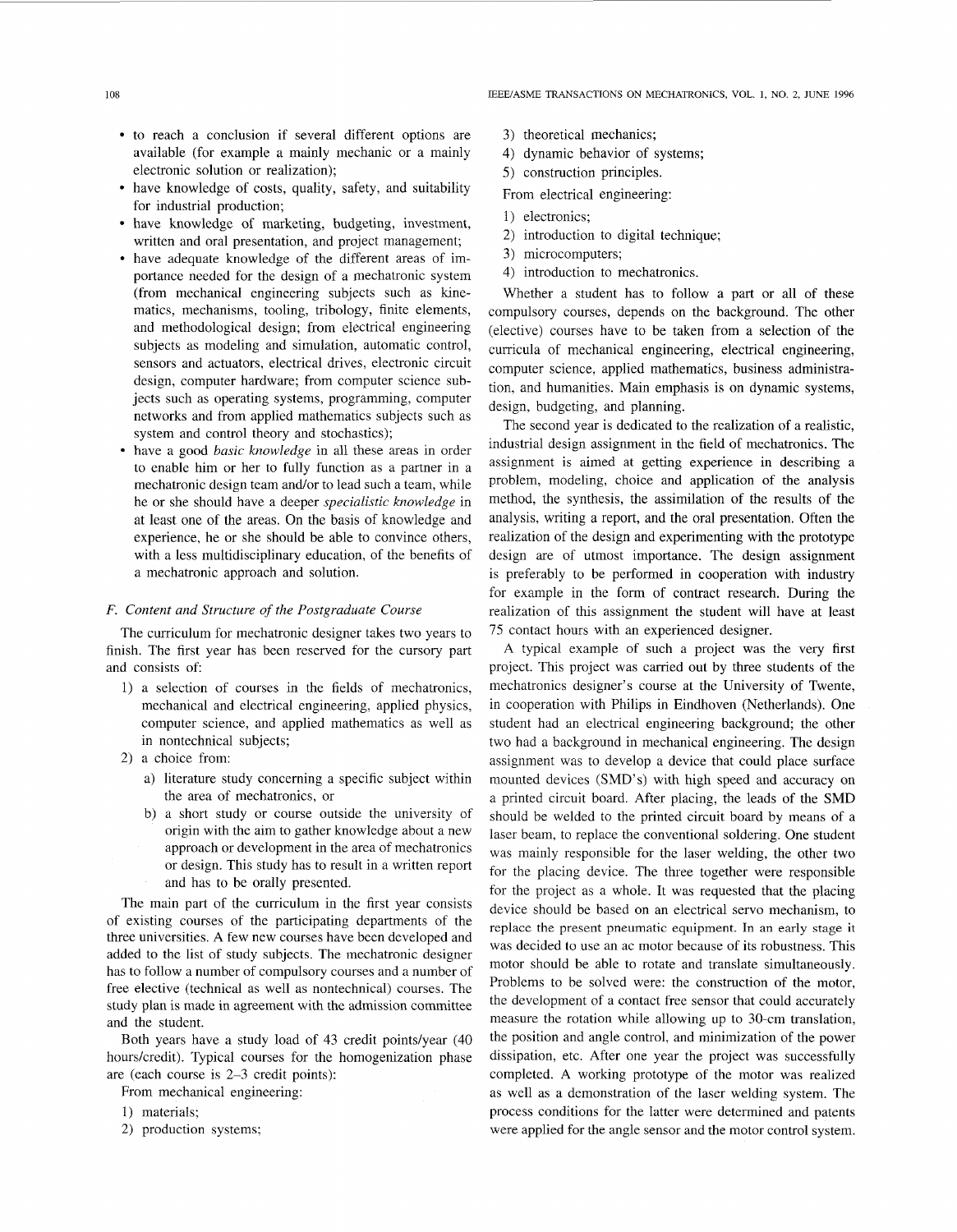- . to reach a conclusion if several different options are examples to the contract of the contract of the theorem.<br>
The contract of the contract of the contract of costs, quality, safety, and suitability<br>
thave knowledge of costs, quality, safety, and suitability available (for example a mainly mechanic or a mainly electronic solution or realization);
- for industrial production;<br>• have knowledge of marketing, budgeting, investment, for industrial production;
- written and oral presentation, and project management;<br>• have adequate knowledge of the different areas of imwritten and oral presentation, and project management;
- system and control theory and stochastics);<br>• have a good *basic knowledge* in all these areas in order portance needed for the design of a mechatronic system (from mechanical engineering subjects such as kinematics, mechanisms, tooling, tribology, finite elements, and methodological design; from electrical engineering subjects as modeling and simulation, automatic control, sensors and actuators, electrical drives, electronic circuit design, computer hardware; from computer science subjects such as operating systems, programming, computer networks and from applied mathematics subjects such as system and control theory and stochastics);
- to enable him or her to fully function as a partner in a mechatronic design team and/or to lead such a team, while he or she should have a deeper *specialistic knowledge* in at least one of the areas. On the basis of knowledge and experience, he or she should be able to convince others, with a less multidisciplinary education, of the benefits of a mechatronic approach and solution.

## *F. Content and Structure of the Postgraduate Course*

The curriculum for mechatronic designer takes two years to finish. The first year has been reserved for the cursory part and consists of:

- 1) a selection of courses in the fields of mechatronics, mechanical and electrical engineering, applied physics, computer science, and applied mathematics as well as in nontechnical subjects;
- 2) a choice from:
	- a) literature study concerning a specific subject within the area of mechatronics, or
	- b) a short study or course outside the university of origin with the aim to gather knowledge about a new approach or development in the area of mechatronics or design. This study has to result in a written report and has to be orally presented.

The main part of the curriculum in the first year consists of existing courses of the participating departments of the three universities. A few new courses have been developed and added to the list of study subjects. The mechatronic designer has to follow a number of compulsory courses and a number of free elective (technical as well as nontechnical) courses. The study plan is made in agreement with the admission committee and the student.

Both years have a study load of 43 credit points/year (40) hours/credit). Typical courses for the homogenization phase are (each course is 2-3 credit points):

From mechanical engineering:

1) materials;

2) production systems;

- 3) theoretical mechanics;
- 4) dynamic behavior of systems;
- 5) construction principles.
- From electrical engineering:
- 1) electronics;
- 2) introduction to digital technique;
- 3) microcomputers;
- 4) introduction to mechatronics.

Whether a student has to follow a part or all of these compulsory courses, depends on the background. The other (elective) courses have to be taken from a selection of the curricula of mechanical engineering, electrical engineering, computer science, applied mathematics, business administration, and humanities. Main emphasis is on dynamic systems, design, budgeting, and planning.

The second year is dedicated to the realization of a realistic, industrial design assignment in the field of mechatronics. The assignment is aimed at getting experience in describing a problem, modeling, choice and application of the analysis method, the synthesis, the assimilation of the results of the analysis, writing a report, and the oral presentation. Often the realization of the design and experimenting with the prototype design are of utmost importance. The design assignment is preferably to be performed in cooperation with industry for example in the form of contract research. During the realization of this assignment the student will have at least 75 contact hours with an experienced designer.

**A** typical example of such a project was the very first project. This project was carried out by three students of the mechatronics designer's course at the University of Twente, in cooperation with Philips in Eindhoven (Netherlands). One student had an electrical engineering background; the other two had a background in mechanical engineering. The design assignment was to develop a device that could place surface mounted devices (SMD's) with high speed and accuracy on a printed circuit board. After placing, the leads of the SMD should be welded to the printed circuit board by means of a laser beam, to replace the conventional soldering. One student was mainly responsible for the laser welding, the other two for the placing device. The three together were responsible for the project as a whole. It was requested that the placing device should be based on an electrical servo mechanism, to replace the present pneumatic equipment. In an early **stage** it was decided to use an ac motor because of its robustness. This motor should be able to rotate and translate simultaneously. Problems to be solved were: the construction of the motor, the development of a contact free sensor that could accurately measure the rotation while allowing up to 30-cm translation, the position and angle control, and minimization of the power dissipation, etc. After one year the project was successfully completed. A working prototype of the motor was realized as well as a demonstration of the laser welding system. The process conditions for the latter were determined and patents were applied for the angle sensor and the motor control system.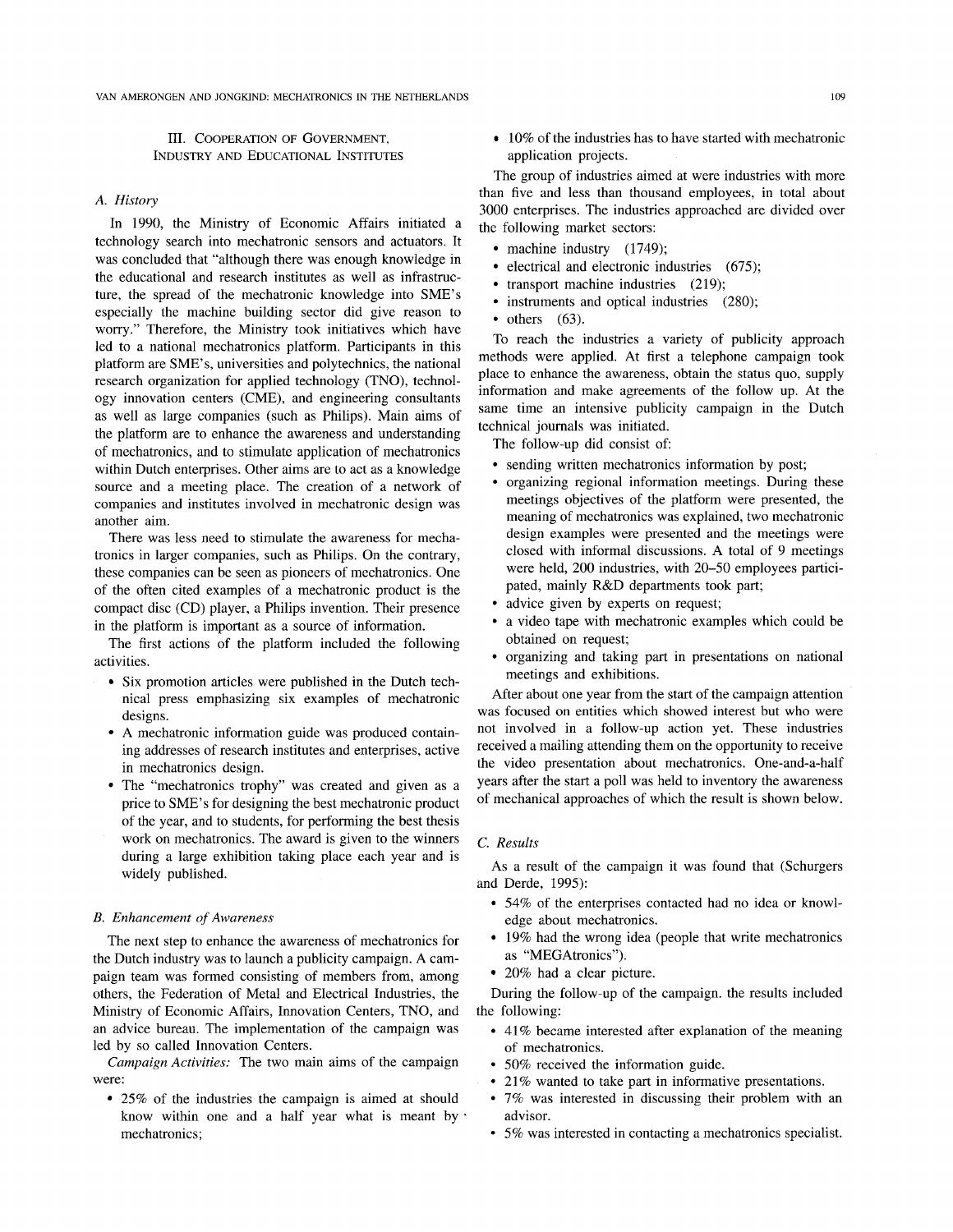III. COOPERATION OF GOVERNMENT. INDUSTRY AND EDUCATIONAL INSTITUTES

# *A. History*

In 1990, the Ministry of Economic Affairs initiated a technology search into mechatronic sensors and actuators. It was concluded that "although there was enough knowledge in the educational and research institutes as well as infrastructure, the spread of the mechatronic knowledge into SME's especially the machine building sector did give reason to worry." Therefore, the Ministry took initiatives which have led to a national mechatronics platform. Participants in this platform are SME's, universities and polytechnics, the national research organization for applied technology (TNO), technology innovation centers (CME), and engineering consultants as well as large companies (such as Philips). Main aims of the platform are to enhance the awareness and understanding of mechatronics, and to stimulate application of mechatronics within Dutch enterprises. Other aims are to act as a knowledge source and a meeting place. The creation of a network of companies and institutes involved in mechatronic design was another aim.

There was less need to stimulate the awareness for mechatronics in larger companies, such as Philips. On the contrary, these companies can be seen as pioneers of mechatronics. One of the often cited examples of a mechatronic product is the compact disc (CD) player, a Philips invention. Their presence in the platform is important as a source of information.

The first actions of the platform included the following activities.

- Six promotion articles were published in the Dutch technical press emphasizing six examples of mechatronic designs.
- A mechatronic information guide was produced containing addresses of research institutes and enterprises, active in mechatronics design.
- The "mechatronics trophy" was created and given as a price to SME's for designing the best mechatronic product of the year, and to students, for performing the best thesis work on mechatronics. The award is given to the winners during a large exhibition taking place each year and is widely published.

# *B. Enhancement (f Awareness*

The next step to enhance the awareness of mechatronics for the Dutch industry was to launch a publicity campaign. A campaign team was formed consisting of members from, among others, the Federation of Metal and Electrical Industries, the Ministry of Economic Affairs, Innovation Centers, TNO, and an advice bureau. The implementation of the campaign was led by so called Innovation Centers.

*Campaign Activities:* The two main aims of the campaign were:

25% of the industries the campaign is aimed at should know within one and a half year what is meant by ' mechatronics ;

 $\cdot$  10% of the industries has to have started with mechatronic application projects.

The group of industries aimed at were industries with more than five and less than thousand employees, in total about 3000 enterprises. The industries approached are divided over the following market sectors:

- machine industry (1749);
- $\bullet$  electrical and electronic industries (675);
- transport machine industries (219):
- instruments and optical industries (280);
- $\bullet$  others  $(63)$ .

To reach the industries a variety of publicity approach methods were applied. At first a telephone campaign took place to enhance the awareness, obtain the status quo, supply information and make agreements of the follow up. At the same time an intensive publicity campaign in the Dutch technical journals was initiated.

The follow-up did consist of

- sending written mechatronics information by post;
- organizing regional information meetings. During these meetings objectives of the platform were presented, the meaning of mechatronics was explained, two mechatronic design examples were presented and the meetings were closed with informal discussions. A total of 9 meetings were held, 200 industries, with 20-SO employees participated, mainly R&D departments took part;
- advice given by experts on request;
- a video tape with mechatronic examples which could be obtained on request;
- organizing and taking part in presentations on national meetings and exhibitions.

After about one year from the start of the campaign attention was focused on entities which showed interest but who were not involved in a follow-up action yet. These industries received a mailing attending them on the opportunity to receive the video presentation about mechatronics. One-and-a-half years after the start a poll was held to inventory the awareness of mechanical approaches of which the result is shown below.

# *C. Results*

As a result of the campaign it was found that (Schurgers and Derde, 1995):

- 54% of the enterprises contacted had no idea or knowledge about mechatronics.
- 19% had the wrong idea (people that write mechatronics as "MEGAtronics").
- 20% had a clear picture.

During the follow-up of the campaign. the results included the following:

- *0*  41 % became interested after explanation of the meaning of mechatronics.
- 50% received the information guide.
- *0*  21% wanted to take part in informative presentations.
- *0*  7% was interested in discussing their problem with an advisor.
- *0*  5% was interested in contacting a mechatronics specialist.